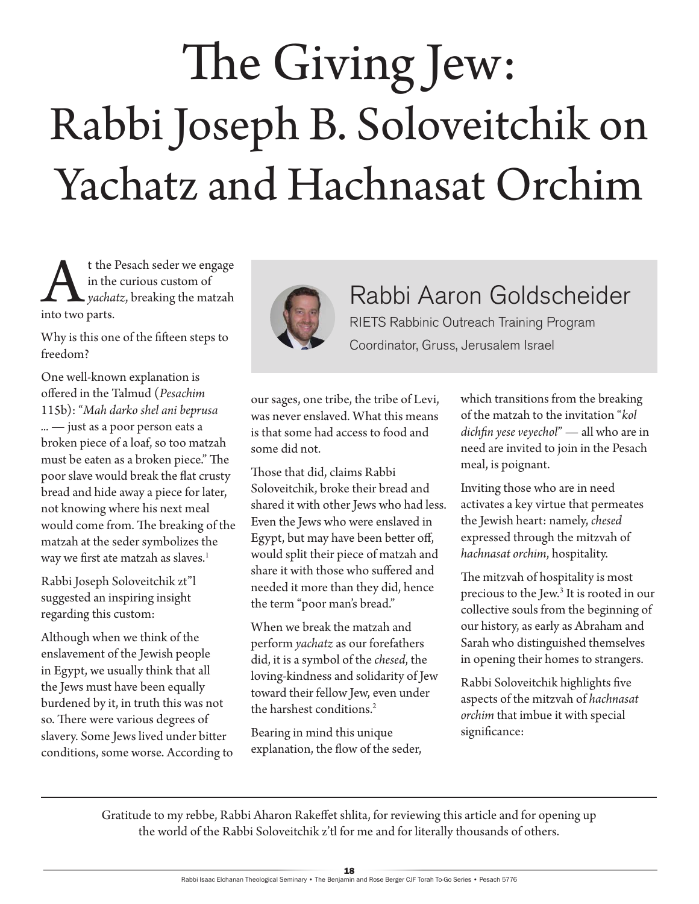# The Giving Jew: Rabbi Joseph B. Soloveitchik on Yachatz and Hachnasat Orchim

t the Pesach seder we engage<br>in the curious custom of<br>yachatz, breaking the matzah<br>into two parts. in the curious custom of *yachatz*, breaking the matzah into two parts.

Why is this one of the fifteen steps to freedom?

One well-known explanation is offered in the Talmud (*Pesachim* 115b): "*Mah darko shel ani beprusa ... —* just as a poor person eats a broken piece of a loaf, so too matzah must be eaten as a broken piece." The poor slave would break the flat crusty bread and hide away a piece for later, not knowing where his next meal would come from. The breaking of the matzah at the seder symbolizes the way we first ate matzah as slaves.<sup>1</sup>

Rabbi Joseph Soloveitchik zt"l suggested an inspiring insight regarding this custom:

Although when we think of the enslavement of the Jewish people in Egypt, we usually think that all the Jews must have been equally burdened by it, in truth this was not so. There were various degrees of slavery. Some Jews lived under bitter conditions, some worse. According to



## Rabbi Aaron Goldscheider

RIETS Rabbinic Outreach Training Program Coordinator, Gruss, Jerusalem Israel

our sages, one tribe, the tribe of Levi, was never enslaved. What this means is that some had access to food and some did not.

Those that did, claims Rabbi Soloveitchik, broke their bread and shared it with other Jews who had less. Even the Jews who were enslaved in Egypt, but may have been better off, would split their piece of matzah and share it with those who suffered and needed it more than they did, hence the term "poor man's bread."

When we break the matzah and perform *yachatz* as our forefathers did, it is a symbol of the *chesed*, the loving-kindness and solidarity of Jew toward their fellow Jew, even under the harshest conditions.<sup>2</sup>

Bearing in mind this unique explanation, the flow of the seder, which transitions from the breaking of the matzah to the invitation "*kol dichfin yese veyechol*" — all who are in need are invited to join in the Pesach meal, is poignant.

Inviting those who are in need activates a key virtue that permeates the Jewish heart: namely, *chesed* expressed through the mitzvah of *hachnasat orchim*, hospitality.

The mitzvah of hospitality is most precious to the Jew.3 It is rooted in our collective souls from the beginning of our history, as early as Abraham and Sarah who distinguished themselves in opening their homes to strangers.

Rabbi Soloveitchik highlights five aspects of the mitzvah of *hachnasat orchim* that imbue it with special significance:

Gratitude to my rebbe, Rabbi Aharon Rakeffet shlita, for reviewing this article and for opening up the world of the Rabbi Soloveitchik z'tl for me and for literally thousands of others.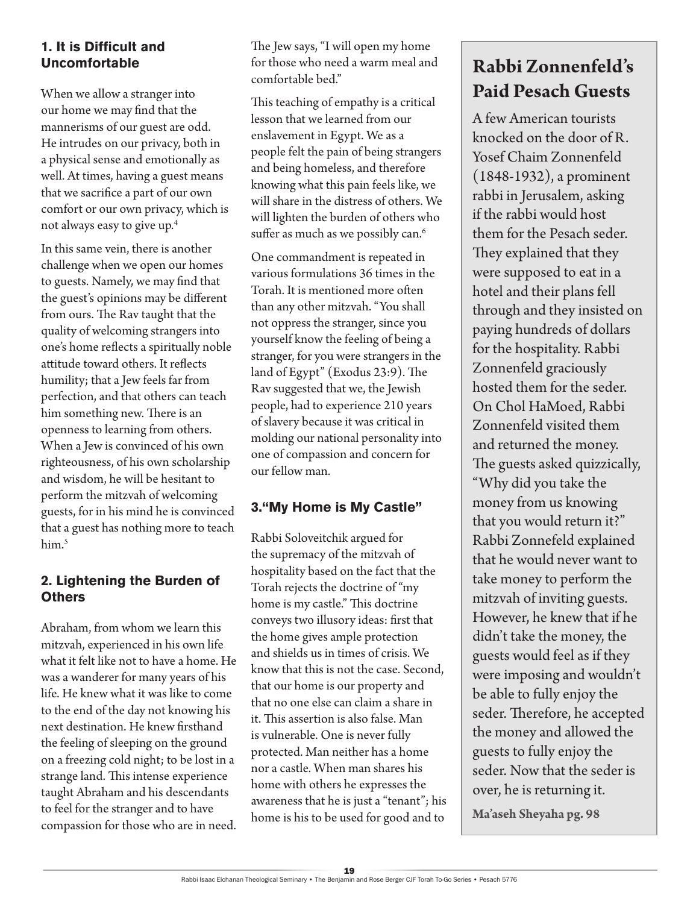#### **1. It is Difficult and Uncomfortable**

When we allow a stranger into our home we may find that the mannerisms of our guest are odd. He intrudes on our privacy, both in a physical sense and emotionally as well. At times, having a guest means that we sacrifice a part of our own comfort or our own privacy, which is not always easy to give up.4

In this same vein, there is another challenge when we open our homes to guests. Namely, we may find that the guest's opinions may be different from ours. The Rav taught that the quality of welcoming strangers into one's home reflects a spiritually noble attitude toward others. It reflects humility; that a Jew feels far from perfection, and that others can teach him something new. There is an openness to learning from others. When a Jew is convinced of his own righteousness, of his own scholarship and wisdom, he will be hesitant to perform the mitzvah of welcoming guests, for in his mind he is convinced that a guest has nothing more to teach him.<sup>5</sup>

#### **2. Lightening the Burden of Others**

Abraham, from whom we learn this mitzvah, experienced in his own life what it felt like not to have a home. He was a wanderer for many years of his life. He knew what it was like to come to the end of the day not knowing his next destination. He knew firsthand the feeling of sleeping on the ground on a freezing cold night; to be lost in a strange land. This intense experience taught Abraham and his descendants to feel for the stranger and to have compassion for those who are in need.

The Jew says, "I will open my home for those who need a warm meal and comfortable bed."

This teaching of empathy is a critical lesson that we learned from our enslavement in Egypt. We as a people felt the pain of being strangers and being homeless, and therefore knowing what this pain feels like, we will share in the distress of others. We will lighten the burden of others who suffer as much as we possibly can.<sup>6</sup>

One commandment is repeated in various formulations 36 times in the Torah. It is mentioned more often than any other mitzvah. "You shall not oppress the stranger, since you yourself know the feeling of being a stranger, for you were strangers in the land of Egypt" (Exodus 23:9). The Rav suggested that we, the Jewish people, had to experience 210 years of slavery because it was critical in molding our national personality into one of compassion and concern for our fellow man.

#### **3."My Home is My Castle"**

Rabbi Soloveitchik argued for the supremacy of the mitzvah of hospitality based on the fact that the Torah rejects the doctrine of "my home is my castle." This doctrine conveys two illusory ideas: first that the home gives ample protection and shields us in times of crisis. We know that this is not the case. Second, that our home is our property and that no one else can claim a share in it. This assertion is also false. Man is vulnerable. One is never fully protected. Man neither has a home nor a castle. When man shares his home with others he expresses the awareness that he is just a "tenant"; his home is his to be used for good and to

### **Rabbi Zonnenfeld's Paid Pesach Guests**

A few American tourists knocked on the door of R. Yosef Chaim Zonnenfeld (1848-1932), a prominent rabbi in Jerusalem, asking if the rabbi would host them for the Pesach seder. They explained that they were supposed to eat in a hotel and their plans fell through and they insisted on paying hundreds of dollars for the hospitality. Rabbi Zonnenfeld graciously hosted them for the seder. On Chol HaMoed, Rabbi Zonnenfeld visited them and returned the money. The guests asked quizzically, "Why did you take the money from us knowing that you would return it?" Rabbi Zonnefeld explained that he would never want to take money to perform the mitzvah of inviting guests. However, he knew that if he didn't take the money, the guests would feel as if they were imposing and wouldn't be able to fully enjoy the seder. Therefore, he accepted the money and allowed the guests to fully enjoy the seder. Now that the seder is over, he is returning it.

**Ma'aseh Sheyaha pg. 98**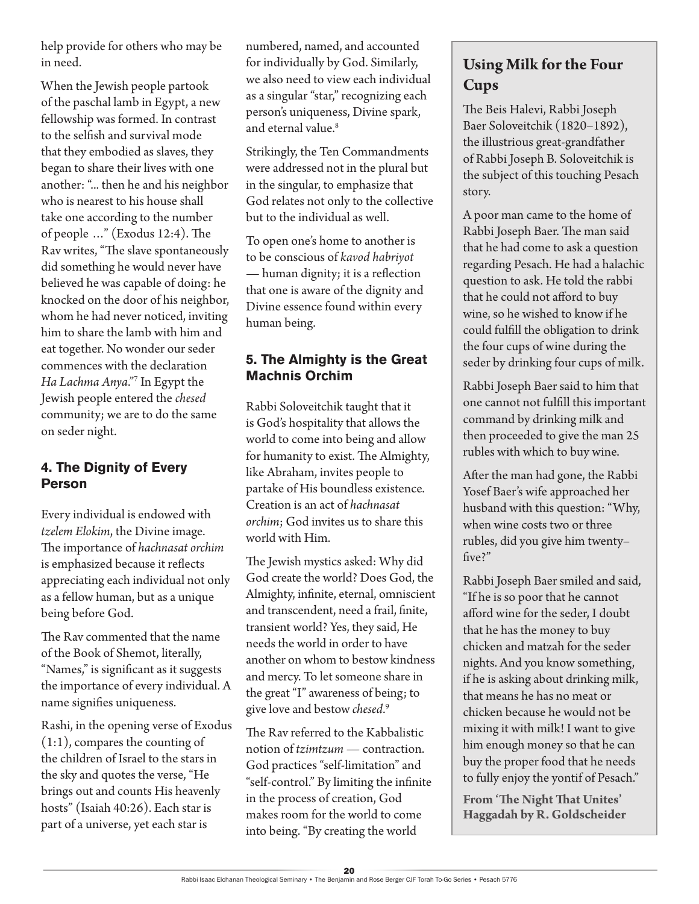help provide for others who may be in need.

When the Jewish people partook of the paschal lamb in Egypt, a new fellowship was formed. In contrast to the selfish and survival mode that they embodied as slaves, they began to share their lives with one another: "... then he and his neighbor who is nearest to his house shall take one according to the number of people …" (Exodus 12:4). The Rav writes, "The slave spontaneously did something he would never have believed he was capable of doing: he knocked on the door of his neighbor, whom he had never noticed, inviting him to share the lamb with him and eat together. No wonder our seder commences with the declaration *Ha Lachma Anya*."7 In Egypt the Jewish people entered the *chesed* community; we are to do the same on seder night.

#### **4. The Dignity of Every Person**

Every individual is endowed with *tzelem Elokim*, the Divine image. The importance of *hachnasat orchim* is emphasized because it reflects appreciating each individual not only as a fellow human, but as a unique being before God.

The Rav commented that the name of the Book of Shemot, literally, "Names," is significant as it suggests the importance of every individual. A name signifies uniqueness.

Rashi, in the opening verse of Exodus (1:1), compares the counting of the children of Israel to the stars in the sky and quotes the verse, "He brings out and counts His heavenly hosts" (Isaiah 40:26). Each star is part of a universe, yet each star is

numbered, named, and accounted for individually by God. Similarly, we also need to view each individual as a singular "star," recognizing each person's uniqueness, Divine spark, and eternal value.<sup>8</sup>

Strikingly, the Ten Commandments were addressed not in the plural but in the singular, to emphasize that God relates not only to the collective but to the individual as well.

To open one's home to another is to be conscious of *kavod habriyot* — human dignity; it is a reflection that one is aware of the dignity and Divine essence found within every human being.

#### **5. The Almighty is the Great Machnis Orchim**

Rabbi Soloveitchik taught that it is God's hospitality that allows the world to come into being and allow for humanity to exist. The Almighty, like Abraham, invites people to partake of His boundless existence. Creation is an act of *hachnasat orchim*; God invites us to share this world with Him.

The Jewish mystics asked: Why did God create the world? Does God, the Almighty, infinite, eternal, omniscient and transcendent, need a frail, finite, transient world? Yes, they said, He needs the world in order to have another on whom to bestow kindness and mercy. To let someone share in the great "I" awareness of being; to give love and bestow *chesed*. 9

The Rav referred to the Kabbalistic notion of *tzimtzum* — contraction. God practices "self-limitation" and "self-control." By limiting the infinite in the process of creation, God makes room for the world to come into being. "By creating the world

#### **Using Milk for the Four Cups**

The Beis Halevi, Rabbi Joseph Baer Soloveitchik (1820–1892), the illustrious great-grandfather of Rabbi Joseph B. Soloveitchik is the subject of this touching Pesach story.

A poor man came to the home of Rabbi Joseph Baer. The man said that he had come to ask a question regarding Pesach. He had a halachic question to ask. He told the rabbi that he could not afford to buy wine, so he wished to know if he could fulfill the obligation to drink the four cups of wine during the seder by drinking four cups of milk.

Rabbi Joseph Baer said to him that one cannot not fulfill this important command by drinking milk and then proceeded to give the man 25 rubles with which to buy wine.

After the man had gone, the Rabbi Yosef Baer's wife approached her husband with this question: "Why, when wine costs two or three rubles, did you give him twenty– five?"

Rabbi Joseph Baer smiled and said, "If he is so poor that he cannot afford wine for the seder, I doubt that he has the money to buy chicken and matzah for the seder nights. And you know something, if he is asking about drinking milk, that means he has no meat or chicken because he would not be mixing it with milk! I want to give him enough money so that he can buy the proper food that he needs to fully enjoy the yontif of Pesach."

**From 'The Night That Unites' Haggadah by R. Goldscheider**